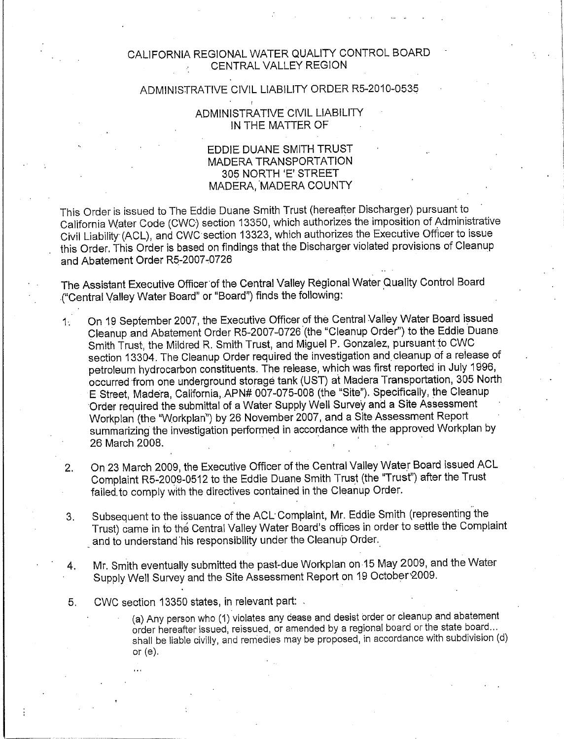## CALIFORNIA REGIONAL WATER QUALITY CONTROL BOARD CENTRAL VALLEY REGION

## ADMINISTRATIVE CIVIL LIABILITY ORDER R5-2010-0535

## ADMINISTRATIVE CIVIL LIABILITY IN THE MATTER OF

## EDDIE DUANE SMITH TRUST MADERA TRANSPORTATION 305 NORTH 'E' STREET MADERA, MADERA COUNTY

This Order is issued to The Eddie Duane Smith Trust (hereafter Discharger) pursuant to California Water Code (CWC) section 13350, which authorizes the imposition of Administrative Civil Liability (ACL), and CWC section 13323, which authorizes the Executive Officer to issue this Order. This Order is based on findings that the Discharger violated provisions of Cleanup and Abatement Order R5-2007-0726

The Assistant Executive Officer of the Central Valley Regional Water Quality Control Board ("Central Valley Water Board" or "Board") finds the following:

- On 19 September 2007, the Executive Officer of the Central Valley Water Board issued  $1<sub>1</sub>$ Cleanup and Abatement Order R5-2007-0726 (the "Cleanup Order") to the Eddie Duane Smith Trust, the Mildred R. Smith Trust, and Miguel P. Gonzalez, pursuant to CWC section 13304. The Cleanup Order required the investigation and cleanup of a release of petroleum hydrocarbon constituents. The release, which was first reported in July 1996, occurred from one underground storage tank (UST) at Madera Transportation, 305 North E Street, Madera, California, APN# 007-075-008 (the "Site"). Specifically, the Cleanup Order required the submittal of a Water Supply Well Survey and a Site Assessment Workplan (the "Workplan") by 26 November 2007, and a Site Assessment Report summarizing the investigation performed in accordance with the approved Workplan by 26 March 2008.
- On 23 March 2009, the Executive Officer of the Central Valley Water Board issued ACL  $2.$ Complaint R5-2009-0512 to the Eddie Duane Smith Trust (the "Trust") after the Trust failed to comply with the directives contained in the Cleanup Order.
- Subsequent to the issuance of the ACL Complaint, Mr. Eddie Smith (representing the 3. Trust) came in to the Central Valley Water Board's offices in order to settle the Complaint and to understand his responsibility under the Cleanup Order.
- Mr. Smith eventually submitted the past-due Workplan on 15 May 2009, and the Water 4. Supply Well Survey and the Site Assessment Report on 19 October 2009.
- 5. CWC section 13350 states, in relevant part:
	- (a) Any person who (1) violates any cease and desist order or cleanup and abatement order hereafter issued, reissued, or amended by a regional board or the state board... shall be liable civilly, and remedies may be proposed, in accordance with subdivision (d) or  $(e)$ .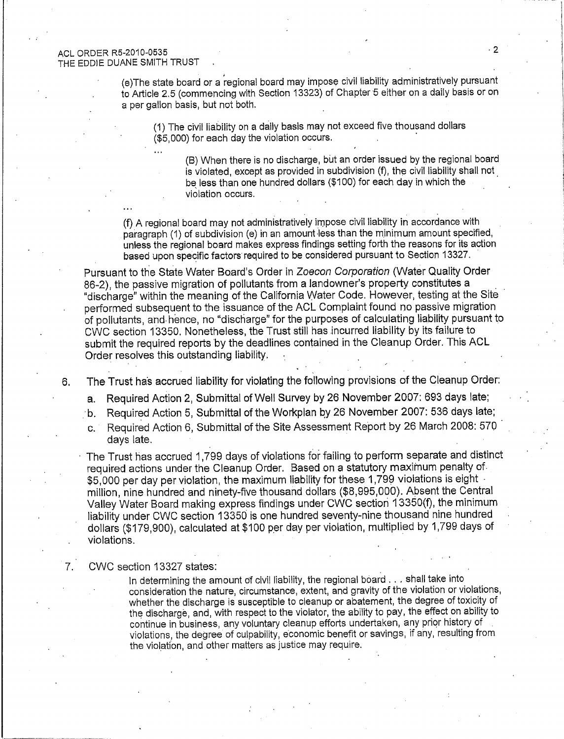#### **ACL ORDER R5-2010-0535** THE EDDIE DUANE SMITH TRUST

(e)The state board or a regional board may impose civil liability administratively pursuant to Article 2.5 (commencing with Section 13323) of Chapter 5 either on a daily basis or on a per gallon basis, but not both.

(1) The civil liability on a daily basis may not exceed five thousand dollars (\$5,000) for each day the violation occurs.

(B) When there is no discharge, but an order issued by the regional board is violated, except as provided in subdivision (f), the civil liability shall not be less than one hundred dollars (\$100) for each day in which the violation occurs.

(f) A regional board may not administratively impose civil liability in accordance with paragraph (1) of subdivision (e) in an amount less than the minimum amount specified, unless the regional board makes express findings setting forth the reasons for its action based upon specific factors required to be considered pursuant to Section 13327.

Pursuant to the State Water Board's Order in Zoecon Corporation (Water Quality Order 86-2), the passive migration of pollutants from a landowner's property constitutes a "discharge" within the meaning of the California Water Code. However, testing at the Site performed subsequent to the issuance of the ACL Complaint found no passive migration of pollutants, and hence, no "discharge" for the purposes of calculating liability pursuant to CWC section 13350. Nonetheless, the Trust still has incurred liability by its failure to submit the required reports by the deadlines contained in the Cleanup Order. This ACL Order resolves this outstanding liability.

The Trust has accrued liability for violating the following provisions of the Cleanup Order:

- Required Action 2, Submittal of Well Survey by 26 November 2007: 693 days late;  $a.$
- b. Required Action 5, Submittal of the Workplan by 26 November 2007: 536 days late;
- Required Action 6, Submittal of the Site Assessment Report by 26 March 2008: 570  $\mathbf{C}$ . days late.

The Trust has accrued 1,799 days of violations for failing to perform separate and distinct required actions under the Cleanup Order. Based on a statutory maximum penalty of \$5,000 per day per violation, the maximum liability for these 1,799 violations is eight million, nine hundred and ninety-five thousand dollars (\$8,995,000). Absent the Central Valley Water Board making express findings under CWC section 13350(f), the minimum liability under CWC section 13350 is one hundred seventy-nine thousand nine hundred dollars (\$179,900), calculated at \$100 per day per violation, multiplied by 1,799 days of violations.

#### CWC section 13327 states:

6.

7.

In determining the amount of civil liability, the regional board . . . shall take into consideration the nature, circumstance, extent, and gravity of the violation or violations, whether the discharge is susceptible to cleanup or abatement, the degree of toxicity of the discharge, and, with respect to the violator, the ability to pay, the effect on ability to continue in business, any voluntary cleanup efforts undertaken, any prior history of violations, the degree of culpability, economic benefit or savings, if any, resulting from the violation, and other matters as justice may require.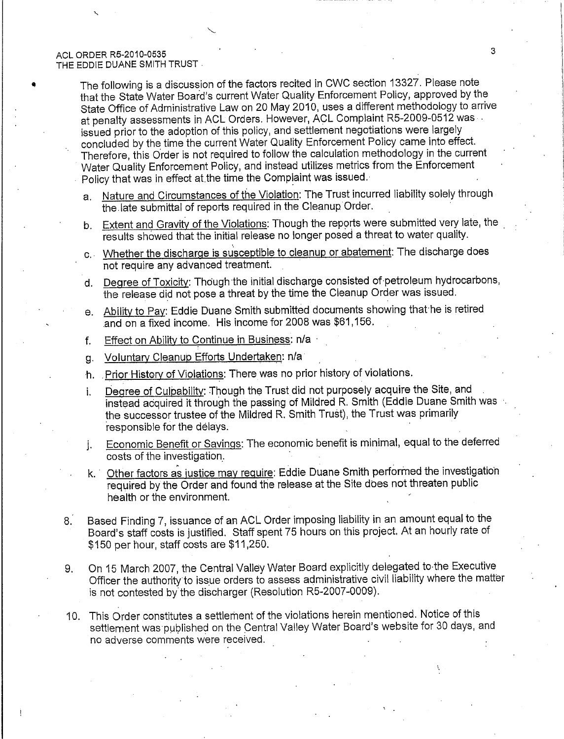The following is a discussion of the factors recited in CWC section 13327. Please note that the State Water Board's current Water Quality Enforcement Policy, approved by the State Office of Administrative Law on 20 May 2010, uses a different methodology to arrive at penalty assessments in ACL Orders. However, ACL Complaint R5-2009-0512 was issued prior to the adoption of this policy, and settlement negotiations were largely concluded by the time the current Water Quality Enforcement Policy came into effect. Therefore, this Order is not required to follow the calculation methodology in the current Water Quality Enforcement Policy, and instead utilizes metrics from the Enforcement Policy that was in effect at the time the Complaint was issued.

- a. Nature and Circumstances of the Violation: The Trust incurred liability solely through the late submittal of reports required in the Cleanup Order.
- b. Extent and Gravity of the Violations: Though the reports were submitted very late, the results showed that the initial release no longer posed a threat to water quality.
- c. Whether the discharge is susceptible to cleanup or abatement: The discharge does not require any advanced treatment.
- d. Degree of Toxicity: Though the initial discharge consisted of petroleum hydrocarbons, the release did not pose a threat by the time the Cleanup Order was issued.
- e. Ability to Pay: Eddie Duane Smith submitted documents showing that he is retired and on a fixed income. His income for 2008 was \$61,156.
- Effect on Ability to Continue in Business: n/a  $f_{\perp}$
- Voluntary Cleanup Efforts Undertaken: n/a g.
- h. Prior History of Violations: There was no prior history of violations.
- Degree of Culpability: Though the Trust did not purposely acquire the Site, and i. instead acquired it through the passing of Mildred R. Smith (Eddie Duane Smith was the successor trustee of the Mildred R. Smith Trust), the Trust was primarily responsible for the delays.
- Economic Benefit or Savings: The economic benefit is minimal, equal to the deferred  $\mathbf{i}$ costs of the investigation.
- Other factors as justice may require: Eddie Duane Smith performed the investigation k. L required by the Order and found the release at the Site does not threaten public health or the environment.
- Based Finding 7, issuance of an ACL Order imposing liability in an amount equal to the  $8.$ Board's staff costs is justified. Staff spent 75 hours on this project. At an hourly rate of \$150 per hour, staff costs are \$11,250.
- On 15 March 2007, the Central Valley Water Board explicitly delegated to the Executive 9. Officer the authority to issue orders to assess administrative civil liability where the matter is not contested by the discharger (Resolution R5-2007-0009).
- 10. This Order constitutes a settlement of the violations herein mentioned. Notice of this settlement was published on the Central Valley Water Board's website for 30 days, and no adverse comments were received.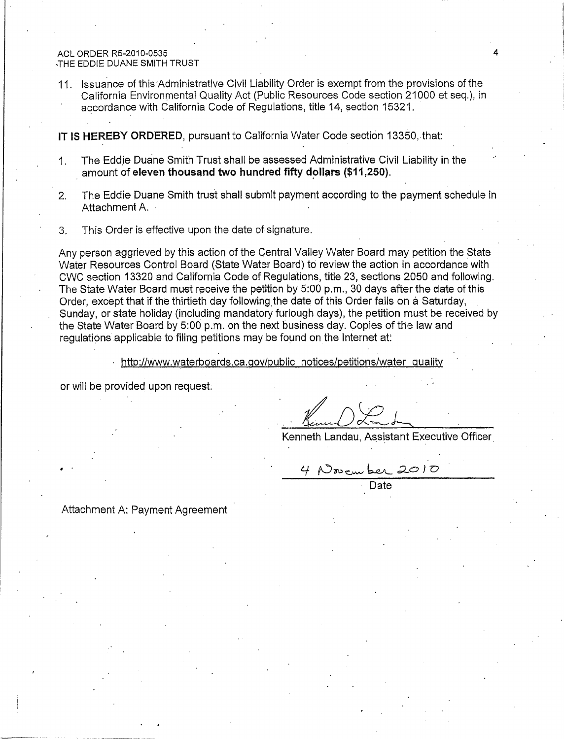#### ACL ORDER R5-2010-0535 THE EDDIE DUANE SMITH TRUST

11. Issuance of this Administrative Civil Liability Order is exempt from the provisions of the California Environmental Quality Act (Public Resources Code section 21000 et seq.), in accordance with California Code of Regulations, title 14, section 15321.

IT IS HEREBY ORDERED, pursuant to California Water Code section 13350, that:

- The Eddie Duane Smith Trust shall be assessed Administrative Civil Liability in the  $1<sup>1</sup>$ amount of eleven thousand two hundred fifty dollars (\$11,250).
- The Eddie Duane Smith trust shall submit payment according to the payment schedule in  $2.$ Attachment A.
- This Order is effective upon the date of signature.  $3<sub>1</sub>$

Any person aggrieved by this action of the Central Valley Water Board may petition the State Water Resources Control Board (State Water Board) to review the action in accordance with CWC section 13320 and California Code of Regulations, title 23, sections 2050 and following. The State Water Board must receive the petition by 5:00 p.m., 30 days after the date of this Order, except that if the thirtieth day following the date of this Order falls on a Saturday, Sunday, or state holiday (including mandatory furlough days), the petition must be received by the State Water Board by 5:00 p.m. on the next business day. Copies of the law and requiations applicable to filing petitions may be found on the internet at:

http://www.waterboards.ca.gov/public\_notices/petitions/water\_quality

or will be provided upon request.

Kenneth Landau, Assistant Executive Officer

4 November 2010

Date

Attachment A: Payment Agreement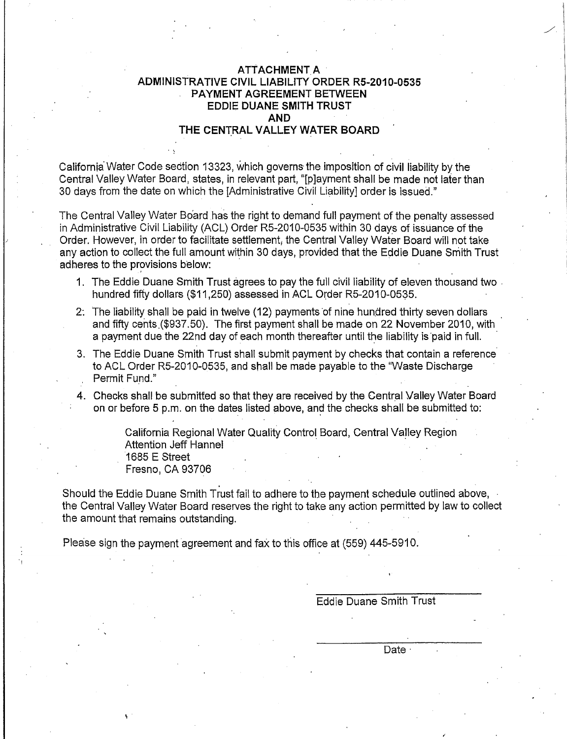### ATTACHMENT A ADMINISTRATIVE CIVIL LIABILITY ORDER R5-2010-0535 **PAYMENT AGREEMENT BETWEEN EDDIE DUANE SMITH TRUST AND** THE CENTRAL VALLEY WATER BOARD

California Water Code section 13323, which governs the imposition of civil liability by the Central Valley Water Board, states, in relevant part, "[playment shall be made not later than 30 days from the date on which the [Administrative Civil Liability] order is issued."

The Central Valley Water Board has the right to demand full payment of the penalty assessed in Administrative Civil Liability (ACL) Order R5-2010-0535 within 30 days of issuance of the Order. However, in order to facilitate settlement, the Central Valley Water Board will not take any action to collect the full amount within 30 days, provided that the Eddie Duane Smith Trust adheres to the provisions below:

- 1. The Eddie Duane Smith Trust agrees to pay the full civil liability of eleven thousand two. hundred fifty dollars (\$11,250) assessed in ACL Order R5-2010-0535.
- 2. The liability shall be paid in twelve (12) payments of nine hundred thirty seven dollars and fifty cents (\$937.50). The first payment shall be made on 22 November 2010, with a payment due the 22nd day of each month thereafter until the liability is paid in full.
- 3. The Eddie Duane Smith Trust shall submit payment by checks that contain a reference to ACL Order R5-2010-0535, and shall be made payable to the "Waste Discharge" Permit Fund."
- 4. Checks shall be submitted so that they are received by the Central Valley Water Board on or before 5 p.m. on the dates listed above, and the checks shall be submitted to:

California Regional Water Quality Control Board, Central Valley Region **Attention Jeff Hannel** 1685 E Street Fresno, CA 93706

Should the Eddie Duane Smith Trust fail to adhere to the payment schedule outlined above, the Central Valley Water Board reserves the right to take any action permitted by law to collect the amount that remains outstanding.

Please sign the payment agreement and fax to this office at (559) 445-5910.

**Eddie Duane Smith Trust** 

Date ·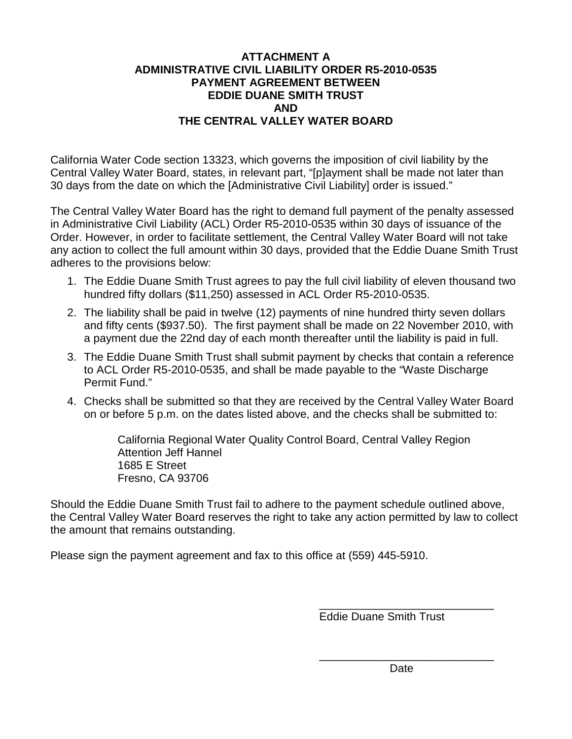# **ATTACHMENT A ADMINISTRATIVE CIVIL LIABILITY ORDER R5-2010-0535 PAYMENT AGREEMENT BETWEEN EDDIE DUANE SMITH TRUST AND THE CENTRAL VALLEY WATER BOARD**

California Water Code section 13323, which governs the imposition of civil liability by the Central Valley Water Board, states, in relevant part, "[p]ayment shall be made not later than 30 days from the date on which the [Administrative Civil Liability] order is issued."

The Central Valley Water Board has the right to demand full payment of the penalty assessed in Administrative Civil Liability (ACL) Order R5-2010-0535 within 30 days of issuance of the Order. However, in order to facilitate settlement, the Central Valley Water Board will not take any action to collect the full amount within 30 days, provided that the Eddie Duane Smith Trust adheres to the provisions below:

- 1. The Eddie Duane Smith Trust agrees to pay the full civil liability of eleven thousand two hundred fifty dollars (\$11,250) assessed in ACL Order R5-2010-0535.
- 2. The liability shall be paid in twelve (12) payments of nine hundred thirty seven dollars and fifty cents (\$937.50). The first payment shall be made on 22 November 2010, with a payment due the 22nd day of each month thereafter until the liability is paid in full.
- 3. The Eddie Duane Smith Trust shall submit payment by checks that contain a reference to ACL Order R5-2010-0535, and shall be made payable to the "Waste Discharge Permit Fund."
- 4. Checks shall be submitted so that they are received by the Central Valley Water Board on or before 5 p.m. on the dates listed above, and the checks shall be submitted to:

California Regional Water Quality Control Board, Central Valley Region Attention Jeff Hannel 1685 E Street Fresno, CA 93706

Should the Eddie Duane Smith Trust fail to adhere to the payment schedule outlined above, the Central Valley Water Board reserves the right to take any action permitted by law to collect the amount that remains outstanding.

Please sign the payment agreement and fax to this office at (559) 445-5910.

\_\_\_\_\_\_\_\_\_\_\_\_\_\_\_\_\_\_\_\_\_\_\_\_\_\_\_\_ Eddie Duane Smith Trust

\_\_\_\_\_\_\_\_\_\_\_\_\_\_\_\_\_\_\_\_\_\_\_\_\_\_\_\_ Date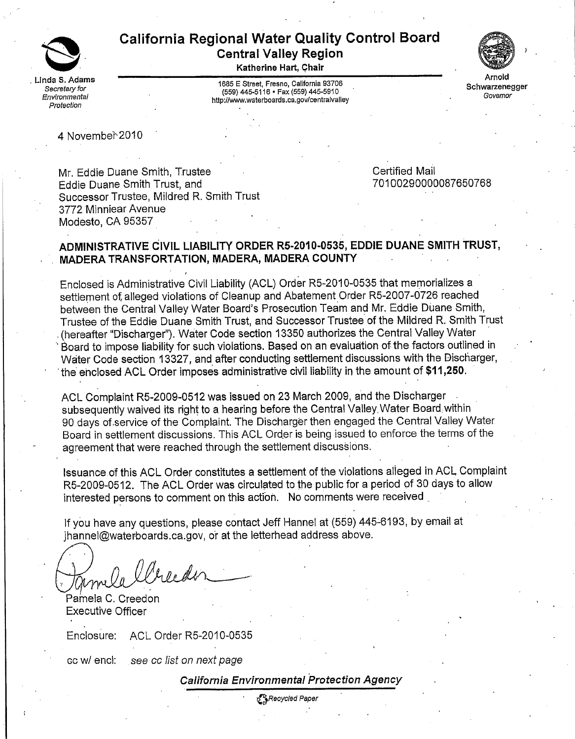

# **California Regional Water Quality Control Board Central Valley Region**

Katherine Hart, Chair

1685 E Street, Fresno, California 93706 (559) 445-5116 · Fax (559) 445-5910 http://www.waterboards.ca.gov/centralvalley



Schwarzenegger Governor

4 November 2010

Mr. Eddie Duane Smith. Trustee Eddie Duane Smith Trust, and Successor Trustee, Mildred R. Smith Trust 3772 Minniear Avenue Modesto, CA 95357

**Certified Mail** 70100290000087650768

# ADMINISTRATIVE CIVIL LIABILITY ORDER R5-2010-0535, EDDIE DUANE SMITH TRUST, MADERA TRANSFORTATION, MADERA, MADERA COUNTY

Enclosed is Administrative Civil Liability (ACL) Order R5-2010-0535 that memorializes a settlement of alleged violations of Cleanup and Abatement Order R5-2007-0726 reached between the Central Valley Water Board's Prosecution Team and Mr. Eddie Duane Smith, Trustee of the Eddie Duane Smith Trust, and Successor Trustee of the Mildred R. Smith Trust (hereafter "Discharger"). Water Code section 13350 authorizes the Central Valley Water Board to impose liability for such violations. Based on an evaluation of the factors outlined in Water Code section 13327, and after conducting settlement discussions with the Discharger, the enclosed ACL Order imposes administrative civil liability in the amount of \$11,250.

ACL Complaint R5-2009-0512 was issued on 23 March 2009, and the Discharger subsequently waived its right to a hearing before the Central Valley Water Board within 90 days of service of the Complaint. The Discharger then engaged the Central Valley Water Board in settlement discussions. This ACL Order is being issued to enforce the terms of the agreement that were reached through the settlement discussions.

Issuance of this ACL Order constitutes a settlement of the violations alleged in ACL Complaint R5-2009-0512. The ACL Order was circulated to the public for a period of 30 days to allow interested persons to comment on this action. No comments were received

If you have any questions, please contact Jeff Hannel at (559) 445-6193, by email at ihannel@waterboards.ca.gov, or at the letterhead address above.

a llreeder

Pamela C. Creedon **Executive Officer** 

ACL Order R5-2010-0535 Enclosure:

cc w/ encl: see cc list on next page

California Environmental Protection Agency

t SRecycled Paper